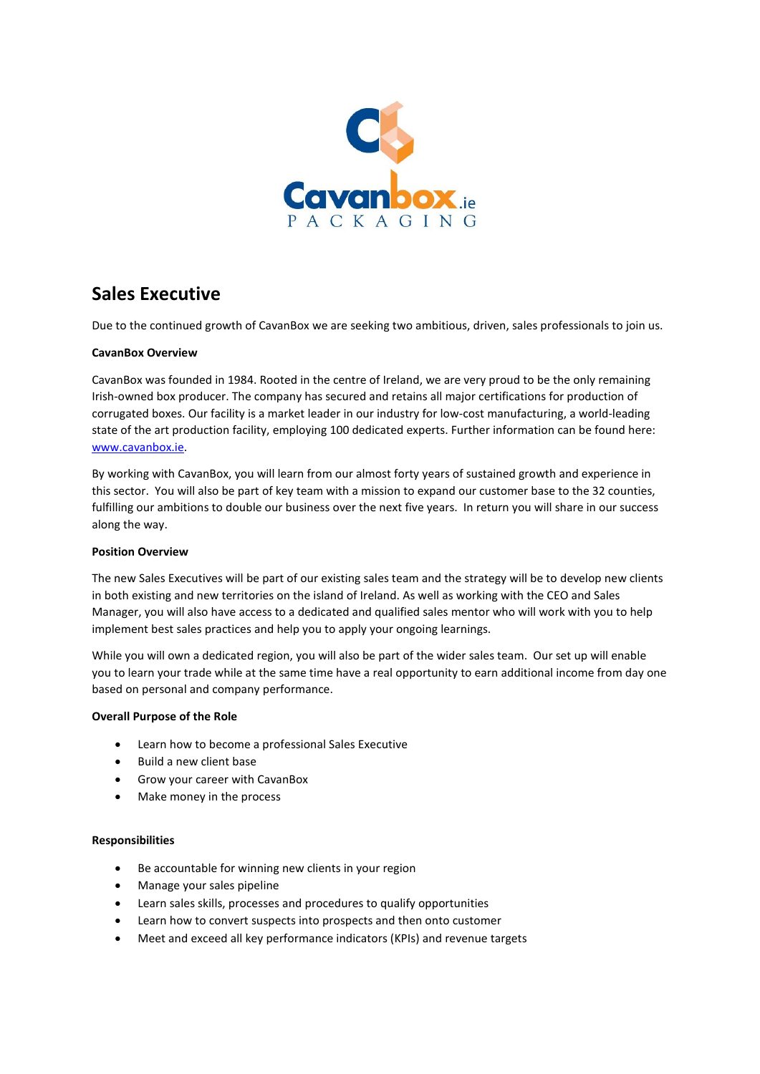

# **Sales Executive**

Due to the continued growth of CavanBox we are seeking two ambitious, driven, sales professionals to join us.

#### **CavanBox Overview**

CavanBox was founded in 1984. Rooted in the centre of Ireland, we are very proud to be the only remaining Irish-owned box producer. The company has secured and retains all major certifications for production of corrugated boxes. Our facility is a market leader in our industry for low-cost manufacturing, a world-leading state of the art production facility, employing 100 dedicated experts. Further information can be found here: [www.cavanbox.ie.](http://www.cavanbox.ie/)

By working with CavanBox, you will learn from our almost forty years of sustained growth and experience in this sector. You will also be part of key team with a mission to expand our customer base to the 32 counties, fulfilling our ambitions to double our business over the next five years. In return you will share in our success along the way.

#### **Position Overview**

The new Sales Executives will be part of our existing sales team and the strategy will be to develop new clients in both existing and new territories on the island of Ireland. As well as working with the CEO and Sales Manager, you will also have access to a dedicated and qualified sales mentor who will work with you to help implement best sales practices and help you to apply your ongoing learnings.

While you will own a dedicated region, you will also be part of the wider sales team. Our set up will enable you to learn your trade while at the same time have a real opportunity to earn additional income from day one based on personal and company performance.

#### **Overall Purpose of the Role**

- Learn how to become a professional Sales Executive
- Build a new client base
- Grow your career with CavanBox
- Make money in the process

#### **Responsibilities**

- Be accountable for winning new clients in your region
- Manage your sales pipeline
- Learn sales skills, processes and procedures to qualify opportunities
- Learn how to convert suspects into prospects and then onto customer
- Meet and exceed all key performance indicators (KPIs) and revenue targets